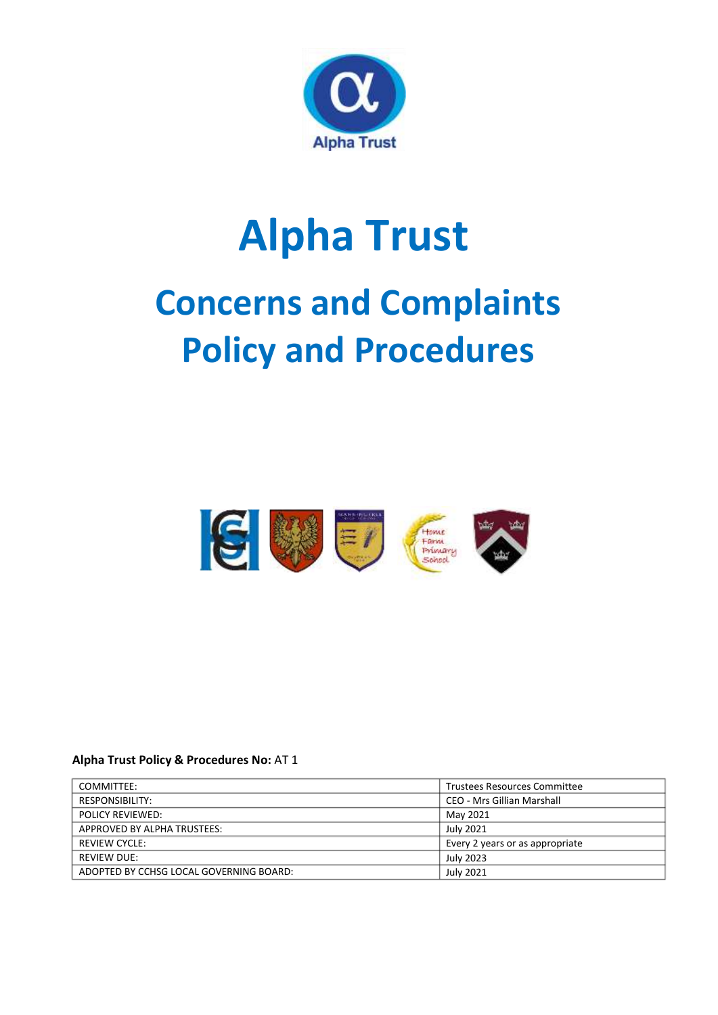

# **Alpha Trust Concerns and Complaints Policy and Procedures**



# **Alpha Trust Policy & Procedures No:** AT 1

| COMMITTEE:                              | <b>Trustees Resources Committee</b> |
|-----------------------------------------|-------------------------------------|
| RESPONSIBILITY:                         | CEO - Mrs Gillian Marshall          |
| <b>POLICY REVIEWED:</b>                 | May 2021                            |
| APPROVED BY ALPHA TRUSTEES:             | July 2021                           |
| REVIEW CYCLE:                           | Every 2 years or as appropriate     |
| <b>REVIEW DUE:</b>                      | July 2023                           |
| ADOPTED BY CCHSG LOCAL GOVERNING BOARD: | July 2021                           |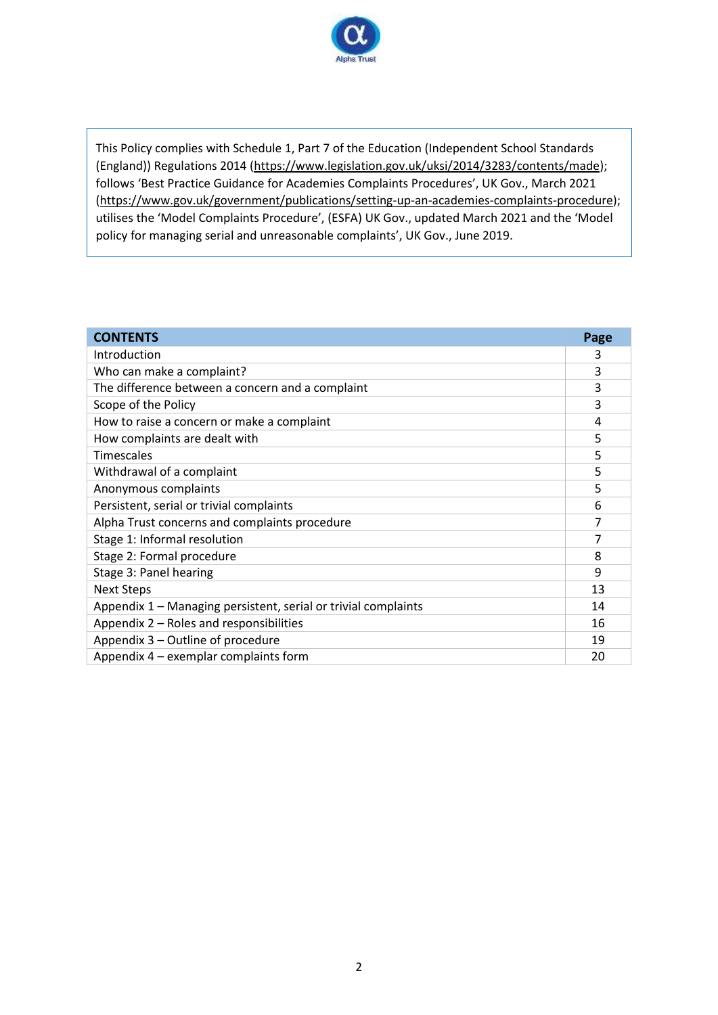

This Policy complies with Schedule 1, Part 7 of the Education (Independent School Standards (England)) Regulations 2014 [\(https://www.legislation.gov.uk/uksi/2014/3283/contents/made\)](https://www.legislation.gov.uk/uksi/2014/3283/contents/made); follows 'Best Practice Guidance for Academies Complaints Procedures', UK Gov., March 2021 [\(https://www.gov.uk/government/publications/setting-up-an-academies-complaints-procedure\)](https://www.gov.uk/government/publications/setting-up-an-academies-complaints-procedure); utilises the 'Model Complaints Procedure', (ESFA) UK Gov., updated March 2021 and the 'Model policy for managing serial and unreasonable complaints', UK Gov., June 2019.

| <b>CONTENTS</b>                                                | Page |
|----------------------------------------------------------------|------|
| Introduction                                                   |      |
| Who can make a complaint?                                      |      |
| The difference between a concern and a complaint               | 3    |
| Scope of the Policy                                            |      |
| How to raise a concern or make a complaint                     |      |
| How complaints are dealt with                                  |      |
| <b>Timescales</b>                                              |      |
| Withdrawal of a complaint                                      | 5    |
| Anonymous complaints                                           |      |
| Persistent, serial or trivial complaints                       |      |
| Alpha Trust concerns and complaints procedure                  |      |
| Stage 1: Informal resolution                                   | 7    |
| Stage 2: Formal procedure                                      | 8    |
| Stage 3: Panel hearing                                         |      |
| <b>Next Steps</b>                                              | 13   |
| Appendix 1 – Managing persistent, serial or trivial complaints | 14   |
| Appendix 2 - Roles and responsibilities                        | 16   |
| Appendix 3 – Outline of procedure                              | 19   |
| Appendix 4 – exemplar complaints form                          |      |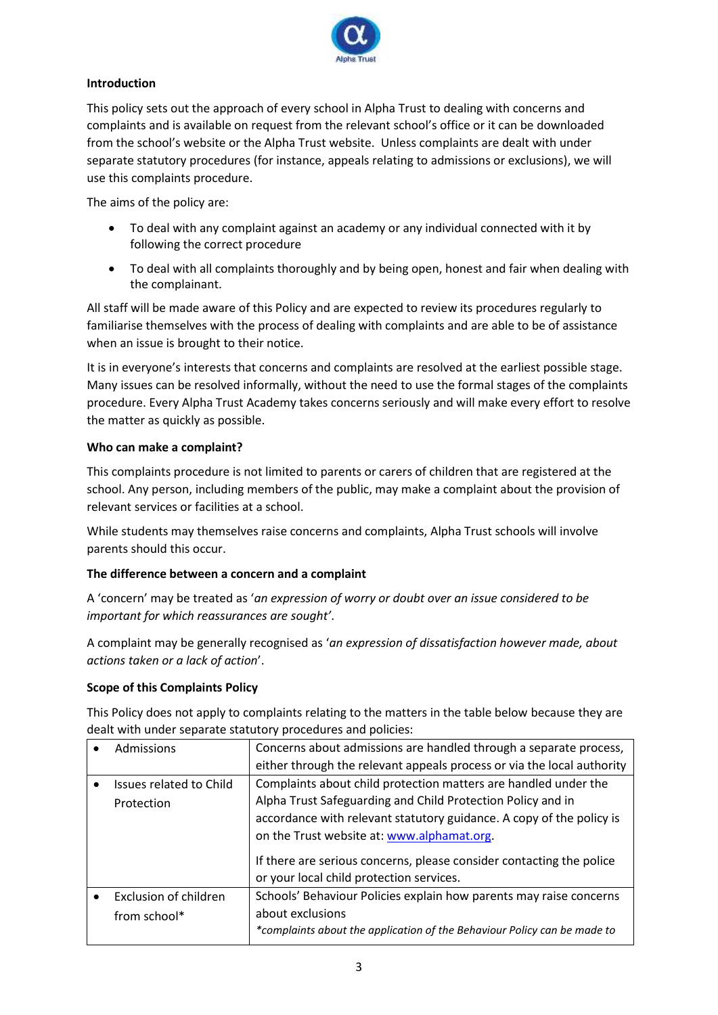

# **Introduction**

This policy sets out the approach of every school in Alpha Trust to dealing with concerns and complaints and is available on request from the relevant school's office or it can be downloaded from the school's website or the Alpha Trust website. Unless complaints are dealt with under separate statutory procedures (for instance, appeals relating to admissions or exclusions), we will use this complaints procedure.

The aims of the policy are:

- To deal with any complaint against an academy or any individual connected with it by following the correct procedure
- To deal with all complaints thoroughly and by being open, honest and fair when dealing with the complainant.

All staff will be made aware of this Policy and are expected to review its procedures regularly to familiarise themselves with the process of dealing with complaints and are able to be of assistance when an issue is brought to their notice.

It is in everyone's interests that concerns and complaints are resolved at the earliest possible stage. Many issues can be resolved informally, without the need to use the formal stages of the complaints procedure. Every Alpha Trust Academy takes concerns seriously and will make every effort to resolve the matter as quickly as possible.

# **Who can make a complaint?**

This complaints procedure is not limited to parents or carers of children that are registered at the school. Any person, including members of the public, may make a complaint about the provision of relevant services or facilities at a school.

While students may themselves raise concerns and complaints, Alpha Trust schools will involve parents should this occur.

# **The difference between a concern and a complaint**

A 'concern' may be treated as '*an expression of worry or doubt over an issue considered to be important for which reassurances are sought'*.

A complaint may be generally recognised as '*an expression of dissatisfaction however made, about actions taken or a lack of action*'.

#### **Scope of this Complaints Policy**

This Policy does not apply to complaints relating to the matters in the table below because they are dealt with under separate statutory procedures and policies:

| Admissions              | Concerns about admissions are handled through a separate process,                                                |
|-------------------------|------------------------------------------------------------------------------------------------------------------|
|                         | either through the relevant appeals process or via the local authority                                           |
| Issues related to Child | Complaints about child protection matters are handled under the                                                  |
| Protection              | Alpha Trust Safeguarding and Child Protection Policy and in                                                      |
|                         | accordance with relevant statutory guidance. A copy of the policy is                                             |
|                         | on the Trust website at: www.alphamat.org.                                                                       |
|                         | If there are serious concerns, please consider contacting the police<br>or your local child protection services. |
| Exclusion of children   | Schools' Behaviour Policies explain how parents may raise concerns                                               |
| from school*            | about exclusions                                                                                                 |
|                         | *complaints about the application of the Behaviour Policy can be made to                                         |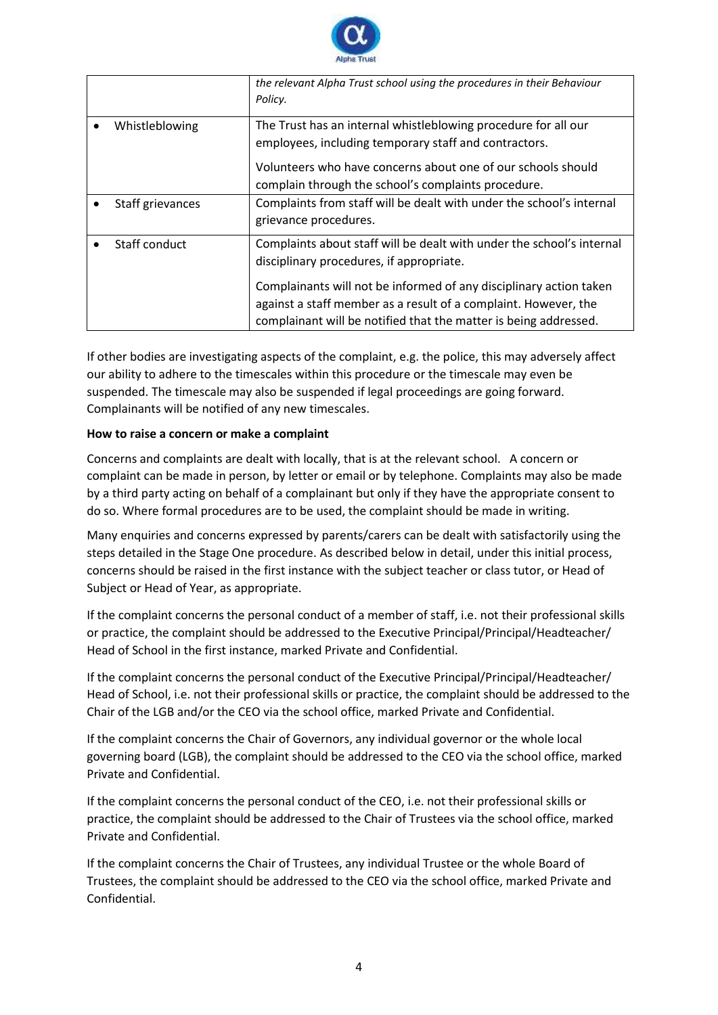

|                  | the relevant Alpha Trust school using the procedures in their Behaviour<br>Policy.                                                                                                                                                                                                                                             |
|------------------|--------------------------------------------------------------------------------------------------------------------------------------------------------------------------------------------------------------------------------------------------------------------------------------------------------------------------------|
| Whistleblowing   | The Trust has an internal whistleblowing procedure for all our<br>employees, including temporary staff and contractors.<br>Volunteers who have concerns about one of our schools should<br>complain through the school's complaints procedure.                                                                                 |
| Staff grievances | Complaints from staff will be dealt with under the school's internal<br>grievance procedures.                                                                                                                                                                                                                                  |
| Staff conduct    | Complaints about staff will be dealt with under the school's internal<br>disciplinary procedures, if appropriate.<br>Complainants will not be informed of any disciplinary action taken<br>against a staff member as a result of a complaint. However, the<br>complainant will be notified that the matter is being addressed. |

If other bodies are investigating aspects of the complaint, e.g. the police, this may adversely affect our ability to adhere to the timescales within this procedure or the timescale may even be suspended. The timescale may also be suspended if legal proceedings are going forward. Complainants will be notified of any new timescales.

# **How to raise a concern or make a complaint**

Concerns and complaints are dealt with locally, that is at the relevant school. A concern or complaint can be made in person, by letter or email or by telephone. Complaints may also be made by a third party acting on behalf of a complainant but only if they have the appropriate consent to do so. Where formal procedures are to be used, the complaint should be made in writing.

Many enquiries and concerns expressed by parents/carers can be dealt with satisfactorily using the steps detailed in the Stage One procedure. As described below in detail, under this initial process, concerns should be raised in the first instance with the subject teacher or class tutor, or Head of Subject or Head of Year, as appropriate.

If the complaint concerns the personal conduct of a member of staff, i.e. not their professional skills or practice, the complaint should be addressed to the Executive Principal/Principal/Headteacher/ Head of School in the first instance, marked Private and Confidential.

If the complaint concerns the personal conduct of the Executive Principal/Principal/Headteacher/ Head of School, i.e. not their professional skills or practice, the complaint should be addressed to the Chair of the LGB and/or the CEO via the school office, marked Private and Confidential.

If the complaint concerns the Chair of Governors, any individual governor or the whole local governing board (LGB), the complaint should be addressed to the CEO via the school office, marked Private and Confidential.

If the complaint concerns the personal conduct of the CEO, i.e. not their professional skills or practice, the complaint should be addressed to the Chair of Trustees via the school office, marked Private and Confidential.

If the complaint concerns the Chair of Trustees, any individual Trustee or the whole Board of Trustees, the complaint should be addressed to the CEO via the school office, marked Private and Confidential.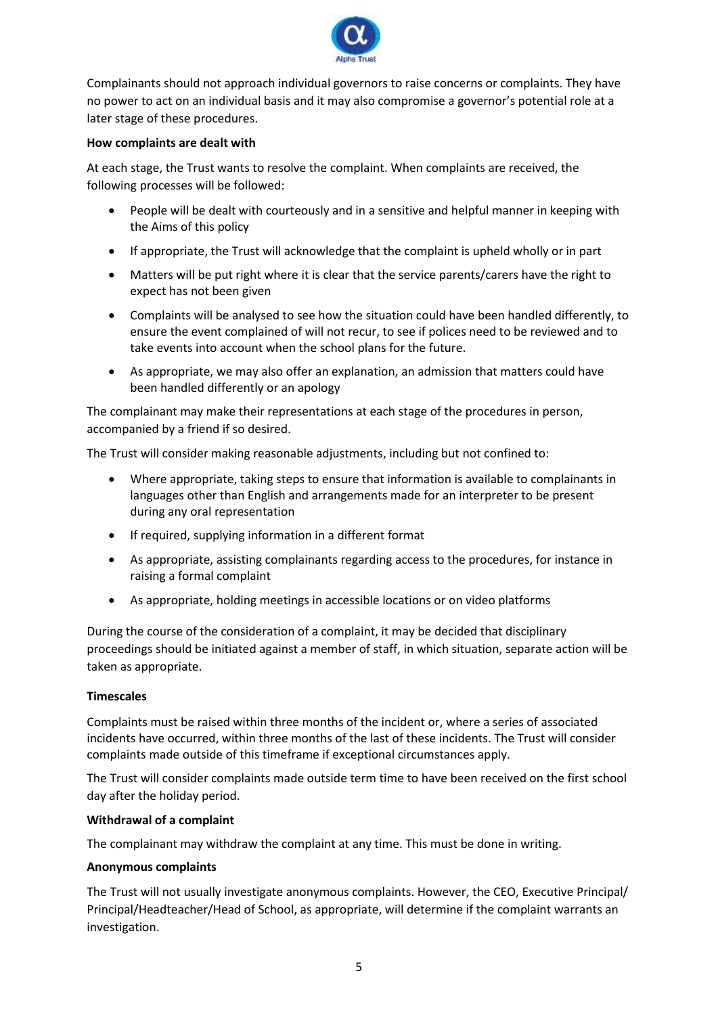

Complainants should not approach individual governors to raise concerns or complaints. They have no power to act on an individual basis and it may also compromise a governor's potential role at a later stage of these procedures.

#### **How complaints are dealt with**

At each stage, the Trust wants to resolve the complaint. When complaints are received, the following processes will be followed:

- People will be dealt with courteously and in a sensitive and helpful manner in keeping with the Aims of this policy
- If appropriate, the Trust will acknowledge that the complaint is upheld wholly or in part
- Matters will be put right where it is clear that the service parents/carers have the right to expect has not been given
- Complaints will be analysed to see how the situation could have been handled differently, to ensure the event complained of will not recur, to see if polices need to be reviewed and to take events into account when the school plans for the future.
- As appropriate, we may also offer an explanation, an admission that matters could have been handled differently or an apology

The complainant may make their representations at each stage of the procedures in person, accompanied by a friend if so desired.

The Trust will consider making reasonable adjustments, including but not confined to:

- Where appropriate, taking steps to ensure that information is available to complainants in languages other than English and arrangements made for an interpreter to be present during any oral representation
- If required, supplying information in a different format
- As appropriate, assisting complainants regarding access to the procedures, for instance in raising a formal complaint
- As appropriate, holding meetings in accessible locations or on video platforms

During the course of the consideration of a complaint, it may be decided that disciplinary proceedings should be initiated against a member of staff, in which situation, separate action will be taken as appropriate.

#### **Timescales**

Complaints must be raised within three months of the incident or, where a series of associated incidents have occurred, within three months of the last of these incidents. The Trust will consider complaints made outside of this timeframe if exceptional circumstances apply.

The Trust will consider complaints made outside term time to have been received on the first school day after the holiday period.

#### **Withdrawal of a complaint**

The complainant may withdraw the complaint at any time. This must be done in writing.

#### **Anonymous complaints**

The Trust will not usually investigate anonymous complaints. However, the CEO, Executive Principal/ Principal/Headteacher/Head of School, as appropriate, will determine if the complaint warrants an investigation.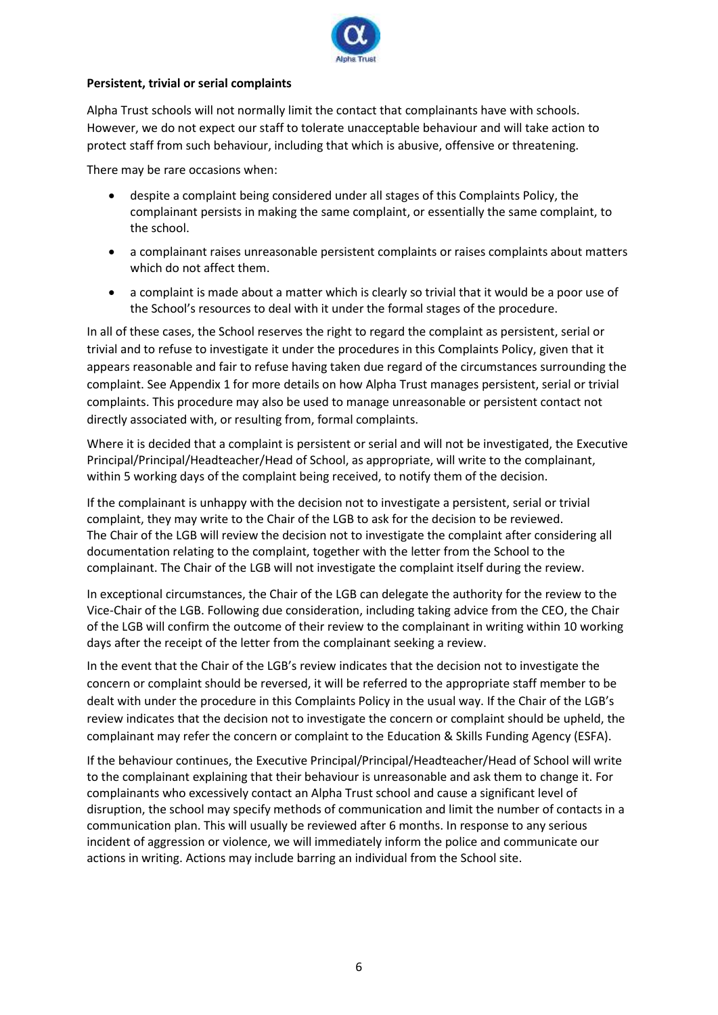

# **Persistent, trivial or serial complaints**

Alpha Trust schools will not normally limit the contact that complainants have with schools. However, we do not expect our staff to tolerate unacceptable behaviour and will take action to protect staff from such behaviour, including that which is abusive, offensive or threatening.

There may be rare occasions when:

- despite a complaint being considered under all stages of this Complaints Policy, the complainant persists in making the same complaint, or essentially the same complaint, to the school.
- a complainant raises unreasonable persistent complaints or raises complaints about matters which do not affect them.
- a complaint is made about a matter which is clearly so trivial that it would be a poor use of the School's resources to deal with it under the formal stages of the procedure.

In all of these cases, the School reserves the right to regard the complaint as persistent, serial or trivial and to refuse to investigate it under the procedures in this Complaints Policy, given that it appears reasonable and fair to refuse having taken due regard of the circumstances surrounding the complaint. See Appendix 1 for more details on how Alpha Trust manages persistent, serial or trivial complaints. This procedure may also be used to manage unreasonable or persistent contact not directly associated with, or resulting from, formal complaints.

Where it is decided that a complaint is persistent or serial and will not be investigated, the Executive Principal/Principal/Headteacher/Head of School, as appropriate, will write to the complainant, within 5 working days of the complaint being received, to notify them of the decision.

If the complainant is unhappy with the decision not to investigate a persistent, serial or trivial complaint, they may write to the Chair of the LGB to ask for the decision to be reviewed. The Chair of the LGB will review the decision not to investigate the complaint after considering all documentation relating to the complaint, together with the letter from the School to the complainant. The Chair of the LGB will not investigate the complaint itself during the review.

In exceptional circumstances, the Chair of the LGB can delegate the authority for the review to the Vice-Chair of the LGB. Following due consideration, including taking advice from the CEO, the Chair of the LGB will confirm the outcome of their review to the complainant in writing within 10 working days after the receipt of the letter from the complainant seeking a review.

In the event that the Chair of the LGB's review indicates that the decision not to investigate the concern or complaint should be reversed, it will be referred to the appropriate staff member to be dealt with under the procedure in this Complaints Policy in the usual way. If the Chair of the LGB's review indicates that the decision not to investigate the concern or complaint should be upheld, the complainant may refer the concern or complaint to the Education & Skills Funding Agency (ESFA).

If the behaviour continues, the Executive Principal/Principal/Headteacher/Head of School will write to the complainant explaining that their behaviour is unreasonable and ask them to change it. For complainants who excessively contact an Alpha Trust school and cause a significant level of disruption, the school may specify methods of communication and limit the number of contacts in a communication plan. This will usually be reviewed after 6 months. In response to any serious incident of aggression or violence, we will immediately inform the police and communicate our actions in writing. Actions may include barring an individual from the School site.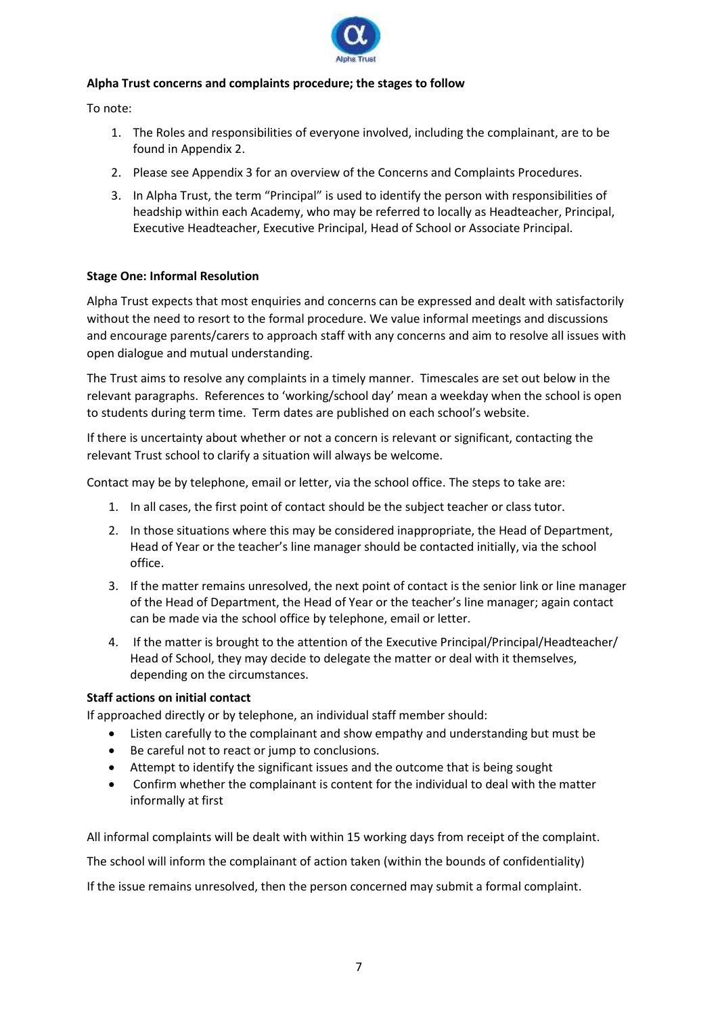

# **Alpha Trust concerns and complaints procedure; the stages to follow**

To note:

- 1. The Roles and responsibilities of everyone involved, including the complainant, are to be found in Appendix 2.
- 2. Please see Appendix 3 for an overview of the Concerns and Complaints Procedures.
- 3. In Alpha Trust, the term "Principal" is used to identify the person with responsibilities of headship within each Academy, who may be referred to locally as Headteacher, Principal, Executive Headteacher, Executive Principal, Head of School or Associate Principal.

# **Stage One: Informal Resolution**

Alpha Trust expects that most enquiries and concerns can be expressed and dealt with satisfactorily without the need to resort to the formal procedure. We value informal meetings and discussions and encourage parents/carers to approach staff with any concerns and aim to resolve all issues with open dialogue and mutual understanding.

The Trust aims to resolve any complaints in a timely manner. Timescales are set out below in the relevant paragraphs. References to 'working/school day' mean a weekday when the school is open to students during term time. Term dates are published on each school's website.

If there is uncertainty about whether or not a concern is relevant or significant, contacting the relevant Trust school to clarify a situation will always be welcome.

Contact may be by telephone, email or letter, via the school office. The steps to take are:

- 1. In all cases, the first point of contact should be the subject teacher or class tutor.
- 2. In those situations where this may be considered inappropriate, the Head of Department, Head of Year or the teacher's line manager should be contacted initially, via the school office.
- 3. If the matter remains unresolved, the next point of contact is the senior link or line manager of the Head of Department, the Head of Year or the teacher's line manager; again contact can be made via the school office by telephone, email or letter.
- 4. If the matter is brought to the attention of the Executive Principal/Principal/Headteacher/ Head of School, they may decide to delegate the matter or deal with it themselves, depending on the circumstances.

#### **Staff actions on initial contact**

If approached directly or by telephone, an individual staff member should:

- Listen carefully to the complainant and show empathy and understanding but must be
- Be careful not to react or jump to conclusions.
- Attempt to identify the significant issues and the outcome that is being sought
- Confirm whether the complainant is content for the individual to deal with the matter informally at first

All informal complaints will be dealt with within 15 working days from receipt of the complaint. The school will inform the complainant of action taken (within the bounds of confidentiality)

If the issue remains unresolved, then the person concerned may submit a formal complaint.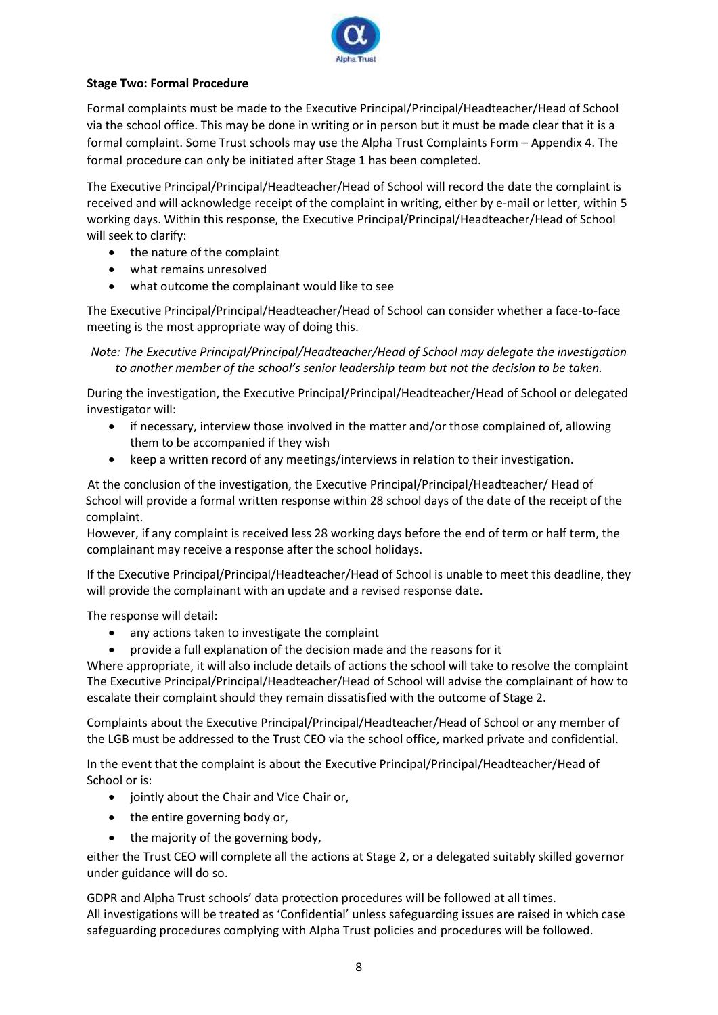

# **Stage Two: Formal Procedure**

Formal complaints must be made to the Executive Principal/Principal/Headteacher/Head of School via the school office. This may be done in writing or in person but it must be made clear that it is a formal complaint. Some Trust schools may use the Alpha Trust Complaints Form – Appendix 4. The formal procedure can only be initiated after Stage 1 has been completed.

The Executive Principal/Principal/Headteacher/Head of School will record the date the complaint is received and will acknowledge receipt of the complaint in writing, either by e-mail or letter, within 5 working days. Within this response, the Executive Principal/Principal/Headteacher/Head of School will seek to clarify:

- the nature of the complaint
- what remains unresolved
- what outcome the complainant would like to see

The Executive Principal/Principal/Headteacher/Head of School can consider whether a face-to-face meeting is the most appropriate way of doing this.

*Note: The Executive Principal/Principal/Headteacher/Head of School may delegate the investigation to another member of the school's senior leadership team but not the decision to be taken.*

During the investigation, the Executive Principal/Principal/Headteacher/Head of School or delegated investigator will:

- if necessary, interview those involved in the matter and/or those complained of, allowing them to be accompanied if they wish
- keep a written record of any meetings/interviews in relation to their investigation.

 At the conclusion of the investigation, the Executive Principal/Principal/Headteacher/ Head of School will provide a formal written response within 28 school days of the date of the receipt of the complaint.

However, if any complaint is received less 28 working days before the end of term or half term, the complainant may receive a response after the school holidays.

If the Executive Principal/Principal/Headteacher/Head of School is unable to meet this deadline, they will provide the complainant with an update and a revised response date.

The response will detail:

- any actions taken to investigate the complaint
- provide a full explanation of the decision made and the reasons for it

Where appropriate, it will also include details of actions the school will take to resolve the complaint The Executive Principal/Principal/Headteacher/Head of School will advise the complainant of how to escalate their complaint should they remain dissatisfied with the outcome of Stage 2.

Complaints about the Executive Principal/Principal/Headteacher/Head of School or any member of the LGB must be addressed to the Trust CEO via the school office, marked private and confidential.

In the event that the complaint is about the Executive Principal/Principal/Headteacher/Head of School or is:

- jointly about the Chair and Vice Chair or,
- the entire governing body or,
- the majority of the governing body,

either the Trust CEO will complete all the actions at Stage 2, or a delegated suitably skilled governor under guidance will do so.

GDPR and Alpha Trust schools' data protection procedures will be followed at all times. All investigations will be treated as 'Confidential' unless safeguarding issues are raised in which case safeguarding procedures complying with Alpha Trust policies and procedures will be followed.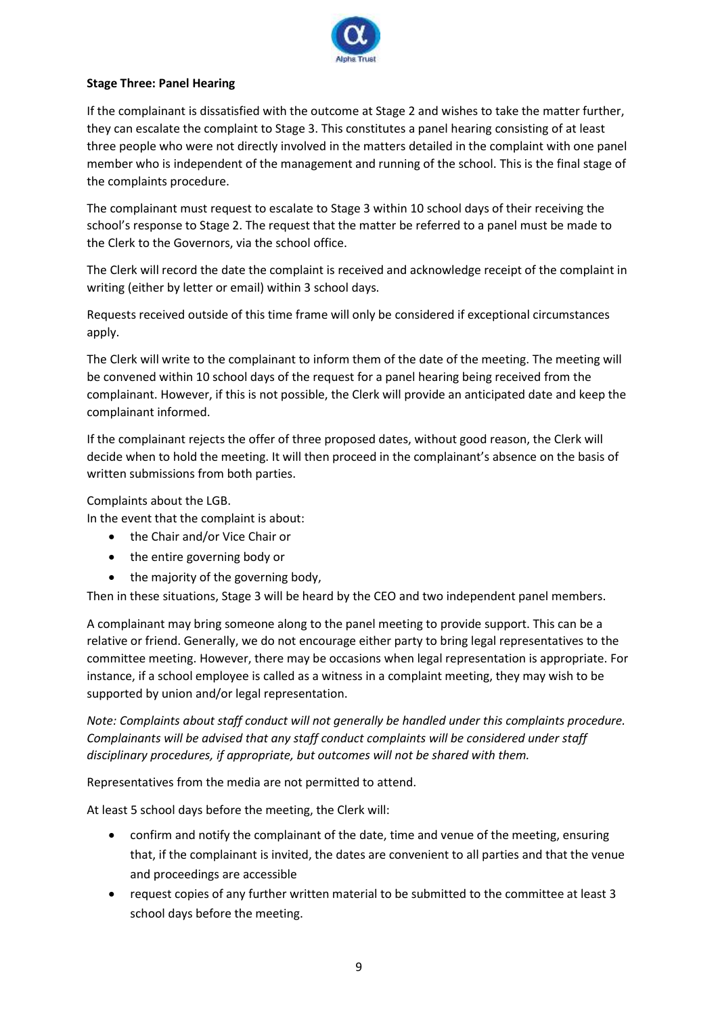

# **Stage Three: Panel Hearing**

If the complainant is dissatisfied with the outcome at Stage 2 and wishes to take the matter further, they can escalate the complaint to Stage 3. This constitutes a panel hearing consisting of at least three people who were not directly involved in the matters detailed in the complaint with one panel member who is independent of the management and running of the school. This is the final stage of the complaints procedure.

The complainant must request to escalate to Stage 3 within 10 school days of their receiving the school's response to Stage 2. The request that the matter be referred to a panel must be made to the Clerk to the Governors, via the school office.

The Clerk will record the date the complaint is received and acknowledge receipt of the complaint in writing (either by letter or email) within 3 school days.

Requests received outside of this time frame will only be considered if exceptional circumstances apply.

The Clerk will write to the complainant to inform them of the date of the meeting. The meeting will be convened within 10 school days of the request for a panel hearing being received from the complainant. However, if this is not possible, the Clerk will provide an anticipated date and keep the complainant informed.

If the complainant rejects the offer of three proposed dates, without good reason, the Clerk will decide when to hold the meeting. It will then proceed in the complainant's absence on the basis of written submissions from both parties.

Complaints about the LGB.

In the event that the complaint is about:

- the Chair and/or Vice Chair or
- the entire governing body or
- the majority of the governing body,

Then in these situations, Stage 3 will be heard by the CEO and two independent panel members.

A complainant may bring someone along to the panel meeting to provide support. This can be a relative or friend. Generally, we do not encourage either party to bring legal representatives to the committee meeting. However, there may be occasions when legal representation is appropriate. For instance, if a school employee is called as a witness in a complaint meeting, they may wish to be supported by union and/or legal representation.

*Note: Complaints about staff conduct will not generally be handled under this complaints procedure. Complainants will be advised that any staff conduct complaints will be considered under staff disciplinary procedures, if appropriate, but outcomes will not be shared with them.* 

Representatives from the media are not permitted to attend.

At least 5 school days before the meeting, the Clerk will:

- confirm and notify the complainant of the date, time and venue of the meeting, ensuring that, if the complainant is invited, the dates are convenient to all parties and that the venue and proceedings are accessible
- request copies of any further written material to be submitted to the committee at least 3 school days before the meeting.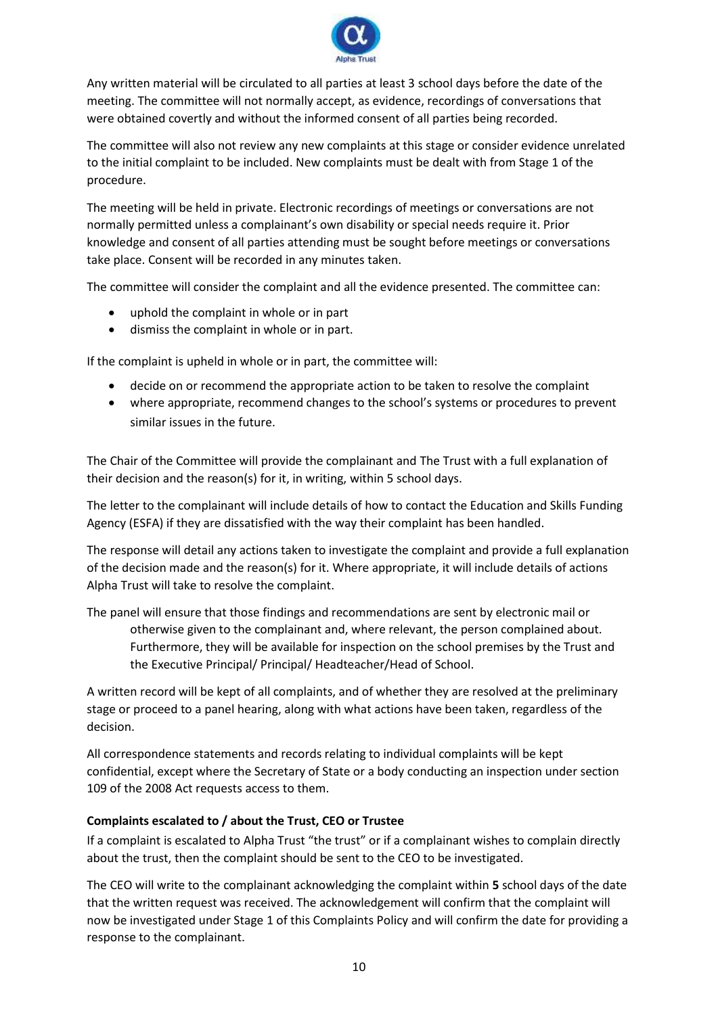

Any written material will be circulated to all parties at least 3 school days before the date of the meeting. The committee will not normally accept, as evidence, recordings of conversations that were obtained covertly and without the informed consent of all parties being recorded.

The committee will also not review any new complaints at this stage or consider evidence unrelated to the initial complaint to be included. New complaints must be dealt with from Stage 1 of the procedure.

The meeting will be held in private. Electronic recordings of meetings or conversations are not normally permitted unless a complainant's own disability or special needs require it. Prior knowledge and consent of all parties attending must be sought before meetings or conversations take place. Consent will be recorded in any minutes taken.

The committee will consider the complaint and all the evidence presented. The committee can:

- uphold the complaint in whole or in part
- dismiss the complaint in whole or in part.

If the complaint is upheld in whole or in part, the committee will:

- decide on or recommend the appropriate action to be taken to resolve the complaint
- where appropriate, recommend changes to the school's systems or procedures to prevent similar issues in the future.

The Chair of the Committee will provide the complainant and The Trust with a full explanation of their decision and the reason(s) for it, in writing, within 5 school days.

The letter to the complainant will include details of how to contact the Education and Skills Funding Agency (ESFA) if they are dissatisfied with the way their complaint has been handled.

The response will detail any actions taken to investigate the complaint and provide a full explanation of the decision made and the reason(s) for it. Where appropriate, it will include details of actions Alpha Trust will take to resolve the complaint.

The panel will ensure that those findings and recommendations are sent by electronic mail or otherwise given to the complainant and, where relevant, the person complained about. Furthermore, they will be available for inspection on the school premises by the Trust and the Executive Principal/ Principal/ Headteacher/Head of School.

A written record will be kept of all complaints, and of whether they are resolved at the preliminary stage or proceed to a panel hearing, along with what actions have been taken, regardless of the decision.

All correspondence statements and records relating to individual complaints will be kept confidential, except where the Secretary of State or a body conducting an inspection under section 109 of the 2008 Act requests access to them.

#### **Complaints escalated to / about the Trust, CEO or Trustee**

If a complaint is escalated to Alpha Trust "the trust" or if a complainant wishes to complain directly about the trust, then the complaint should be sent to the CEO to be investigated.

The CEO will write to the complainant acknowledging the complaint within **5** school days of the date that the written request was received. The acknowledgement will confirm that the complaint will now be investigated under Stage 1 of this Complaints Policy and will confirm the date for providing a response to the complainant.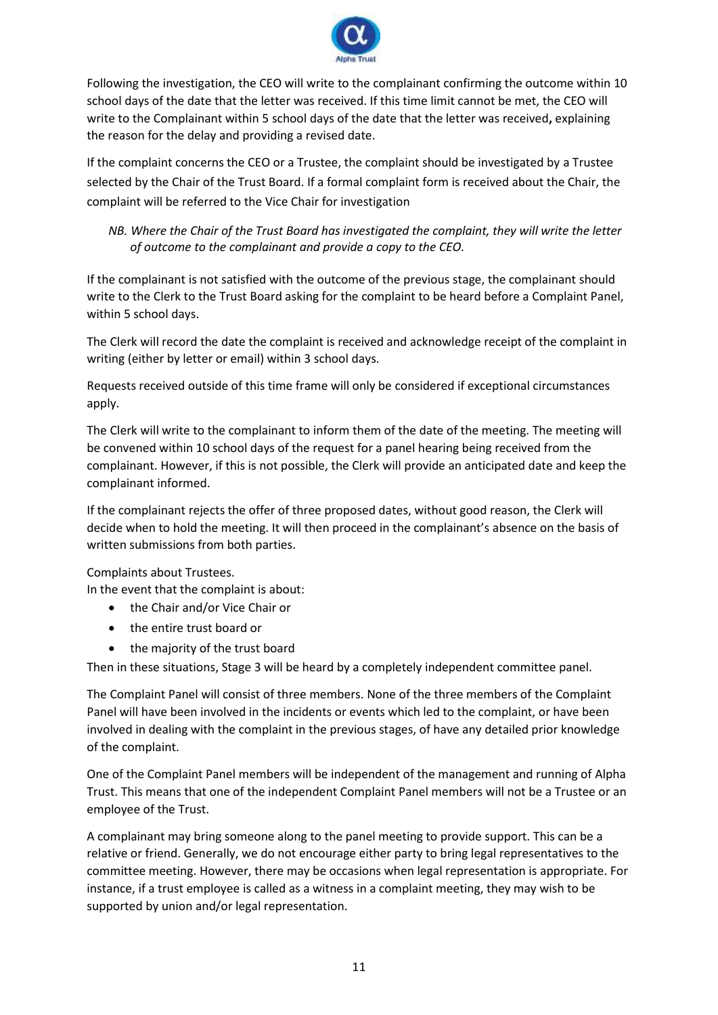

Following the investigation, the CEO will write to the complainant confirming the outcome within 10 school days of the date that the letter was received. If this time limit cannot be met, the CEO will write to the Complainant within 5 school days of the date that the letter was received**,** explaining the reason for the delay and providing a revised date.

If the complaint concerns the CEO or a Trustee, the complaint should be investigated by a Trustee selected by the Chair of the Trust Board. If a formal complaint form is received about the Chair, the complaint will be referred to the Vice Chair for investigation

*NB. Where the Chair of the Trust Board has investigated the complaint, they will write the letter of outcome to the complainant and provide a copy to the CEO.* 

If the complainant is not satisfied with the outcome of the previous stage, the complainant should write to the Clerk to the Trust Board asking for the complaint to be heard before a Complaint Panel, within 5 school days.

The Clerk will record the date the complaint is received and acknowledge receipt of the complaint in writing (either by letter or email) within 3 school days.

Requests received outside of this time frame will only be considered if exceptional circumstances apply.

The Clerk will write to the complainant to inform them of the date of the meeting. The meeting will be convened within 10 school days of the request for a panel hearing being received from the complainant. However, if this is not possible, the Clerk will provide an anticipated date and keep the complainant informed.

If the complainant rejects the offer of three proposed dates, without good reason, the Clerk will decide when to hold the meeting. It will then proceed in the complainant's absence on the basis of written submissions from both parties.

Complaints about Trustees.

In the event that the complaint is about:

- the Chair and/or Vice Chair or
- the entire trust board or
- the majority of the trust board

Then in these situations, Stage 3 will be heard by a completely independent committee panel.

The Complaint Panel will consist of three members. None of the three members of the Complaint Panel will have been involved in the incidents or events which led to the complaint, or have been involved in dealing with the complaint in the previous stages, of have any detailed prior knowledge of the complaint.

One of the Complaint Panel members will be independent of the management and running of Alpha Trust. This means that one of the independent Complaint Panel members will not be a Trustee or an employee of the Trust.

A complainant may bring someone along to the panel meeting to provide support. This can be a relative or friend. Generally, we do not encourage either party to bring legal representatives to the committee meeting. However, there may be occasions when legal representation is appropriate. For instance, if a trust employee is called as a witness in a complaint meeting, they may wish to be supported by union and/or legal representation.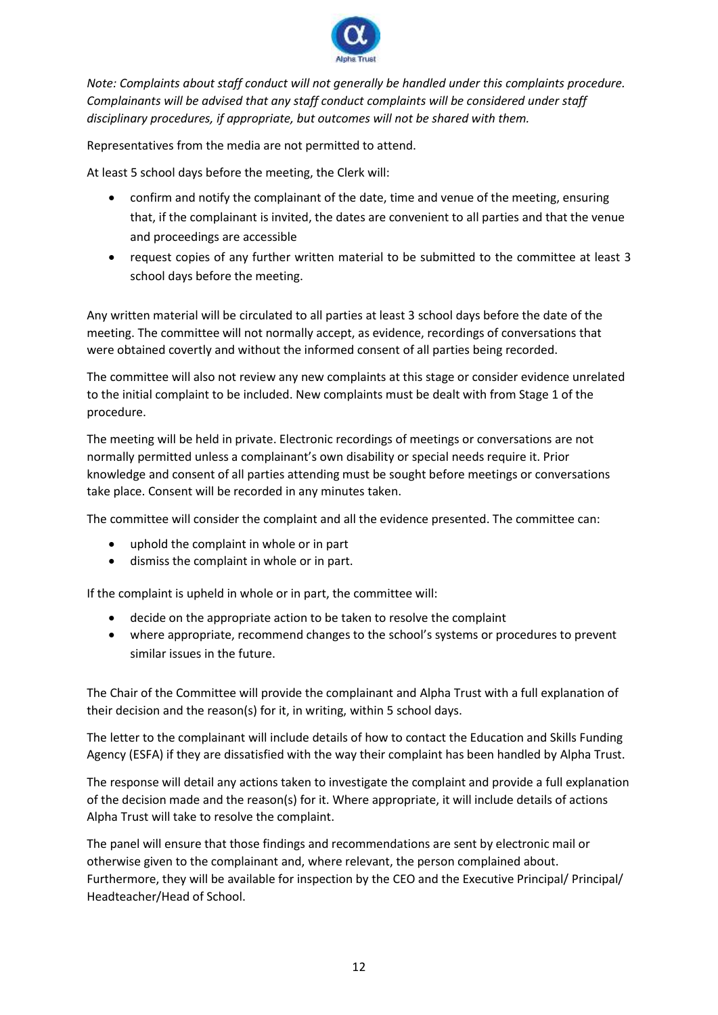

*Note: Complaints about staff conduct will not generally be handled under this complaints procedure. Complainants will be advised that any staff conduct complaints will be considered under staff disciplinary procedures, if appropriate, but outcomes will not be shared with them.* 

Representatives from the media are not permitted to attend.

At least 5 school days before the meeting, the Clerk will:

- confirm and notify the complainant of the date, time and venue of the meeting, ensuring that, if the complainant is invited, the dates are convenient to all parties and that the venue and proceedings are accessible
- request copies of any further written material to be submitted to the committee at least 3 school days before the meeting.

Any written material will be circulated to all parties at least 3 school days before the date of the meeting. The committee will not normally accept, as evidence, recordings of conversations that were obtained covertly and without the informed consent of all parties being recorded.

The committee will also not review any new complaints at this stage or consider evidence unrelated to the initial complaint to be included. New complaints must be dealt with from Stage 1 of the procedure.

The meeting will be held in private. Electronic recordings of meetings or conversations are not normally permitted unless a complainant's own disability or special needs require it. Prior knowledge and consent of all parties attending must be sought before meetings or conversations take place. Consent will be recorded in any minutes taken.

The committee will consider the complaint and all the evidence presented. The committee can:

- uphold the complaint in whole or in part
- dismiss the complaint in whole or in part.

If the complaint is upheld in whole or in part, the committee will:

- decide on the appropriate action to be taken to resolve the complaint
- where appropriate, recommend changes to the school's systems or procedures to prevent similar issues in the future.

The Chair of the Committee will provide the complainant and Alpha Trust with a full explanation of their decision and the reason(s) for it, in writing, within 5 school days.

The letter to the complainant will include details of how to contact the Education and Skills Funding Agency (ESFA) if they are dissatisfied with the way their complaint has been handled by Alpha Trust.

The response will detail any actions taken to investigate the complaint and provide a full explanation of the decision made and the reason(s) for it. Where appropriate, it will include details of actions Alpha Trust will take to resolve the complaint.

The panel will ensure that those findings and recommendations are sent by electronic mail or otherwise given to the complainant and, where relevant, the person complained about. Furthermore, they will be available for inspection by the CEO and the Executive Principal/ Principal/ Headteacher/Head of School.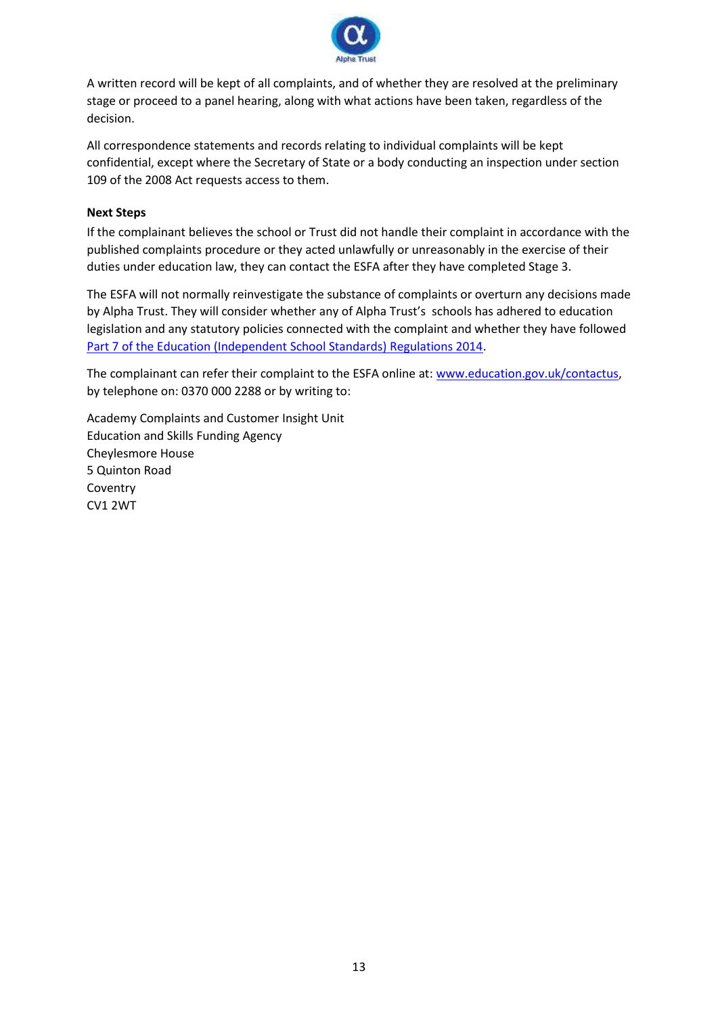

A written record will be kept of all complaints, and of whether they are resolved at the preliminary stage or proceed to a panel hearing, along with what actions have been taken, regardless of the decision.

All correspondence statements and records relating to individual complaints will be kept confidential, except where the Secretary of State or a body conducting an inspection under section 109 of the 2008 Act requests access to them.

# **Next Steps**

If the complainant believes the school or Trust did not handle their complaint in accordance with the published complaints procedure or they acted unlawfully or unreasonably in the exercise of their duties under education law, they can contact the ESFA after they have completed Stage 3.

The ESFA will not normally reinvestigate the substance of complaints or overturn any decisions made by Alpha Trust. They will consider whether any of Alpha Trust's schools has adhered to education legislation and any statutory policies connected with the complaint and whether they have followed [Part 7 of the Education \(Independent School Standards\) Regulations 2014.](http://www.legislation.gov.uk/uksi/2010/1997/schedule/1/made)

The complainant can refer their complaint to the ESFA online at[: www.education.gov.uk/contactus,](http://www.education.gov.uk/contactus) by telephone on: 0370 000 2288 or by writing to:

Academy Complaints and Customer Insight Unit Education and Skills Funding Agency Cheylesmore House 5 Quinton Road Coventry CV1 2WT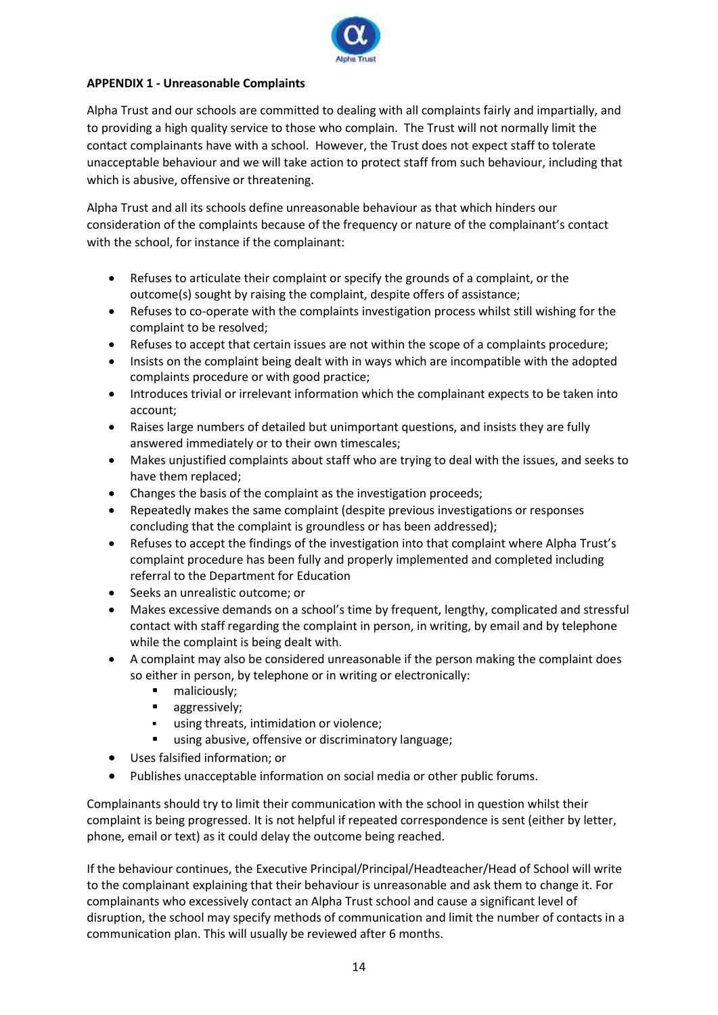

# **APPENDIX 1 - Unreasonable Complaints**

Alpha Trust and our schools are committed to dealing with all complaints fairly and impartially, and to providing a high quality service to those who complain. The Trust will not normally limit the contact complainants have with a school. However, the Trust does not expect staff to tolerate unacceptable behaviour and we will take action to protect staff from such behaviour, including that which is abusive, offensive or threatening.

Alpha Trust and all its schools define unreasonable behaviour as that which hinders our consideration of the complaints because of the frequency or nature of the complainant's contact with the school, for instance if the complainant:

- Refuses to articulate their complaint or specify the grounds of a complaint, or the outcome(s) sought by raising the complaint, despite offers of assistance;
- Refuses to co-operate with the complaints investigation process whilst still wishing for the complaint to be resolved;
- Refuses to accept that certain issues are not within the scope of a complaints procedure;
- Insists on the complaint being dealt with in ways which are incompatible with the adopted complaints procedure or with good practice;
- Introduces trivial or irrelevant information which the complainant expects to be taken into account;
- Raises large numbers of detailed but unimportant questions, and insists they are fully answered immediately or to their own timescales;
- Makes unjustified complaints about staff who are trying to deal with the issues, and seeks to have them replaced;
- Changes the basis of the complaint as the investigation proceeds;
- Repeatedly makes the same complaint (despite previous investigations or responses concluding that the complaint is groundless or has been addressed);
- Refuses to accept the findings of the investigation into that complaint where Alpha Trust's complaint procedure has been fully and properly implemented and completed including referral to the Department for Education
- Seeks an unrealistic outcome; or
- Makes excessive demands on a school's time by frequent, lengthy, complicated and stressful contact with staff regarding the complaint in person, in writing, by email and by telephone while the complaint is being dealt with.
- A complaint may also be considered unreasonable if the person making the complaint does so either in person, by telephone or in writing or electronically:
	- maliciously;
	- **■** aggressively;
	- using threats, intimidation or violence:
	- using abusive, offensive or discriminatory language;
- Uses falsified information; or
- Publishes unacceptable information on social media or other public forums.

Complainants should try to limit their communication with the school in question whilst their complaint is being progressed. It is not helpful if repeated correspondence is sent (either by letter, phone, email or text) as it could delay the outcome being reached.

If the behaviour continues, the Executive Principal/Principal/Headteacher/Head of School will write to the complainant explaining that their behaviour is unreasonable and ask them to change it. For complainants who excessively contact an Alpha Trust school and cause a significant level of disruption, the school may specify methods of communication and limit the number of contacts in a communication plan. This will usually be reviewed after 6 months.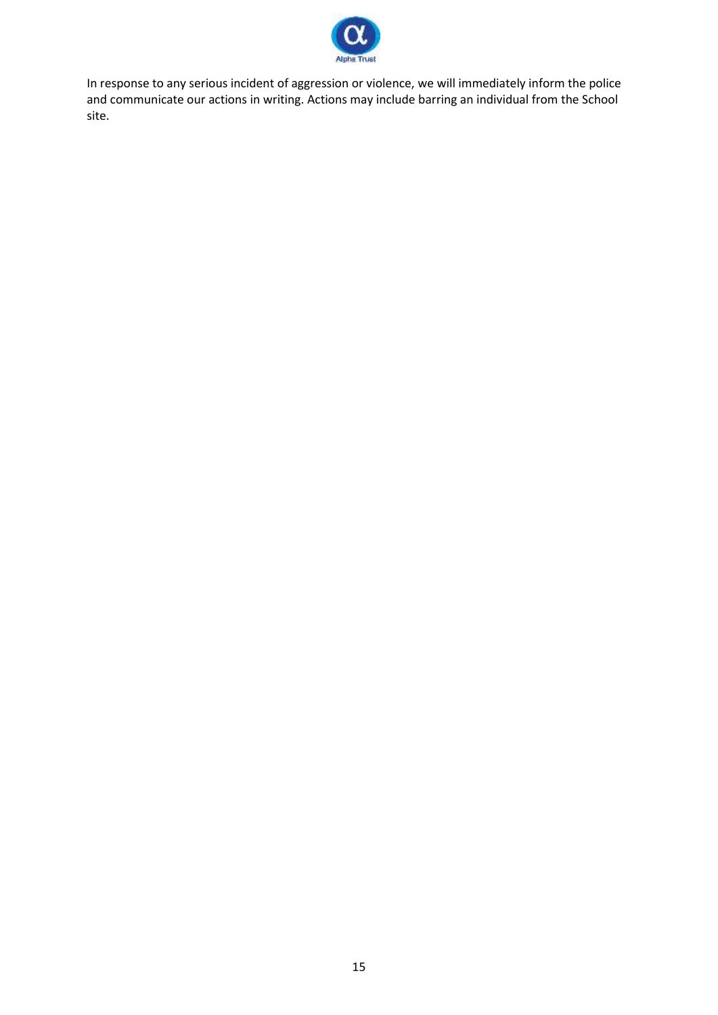

In response to any serious incident of aggression or violence, we will immediately inform the police and communicate our actions in writing. Actions may include barring an individual from the School site.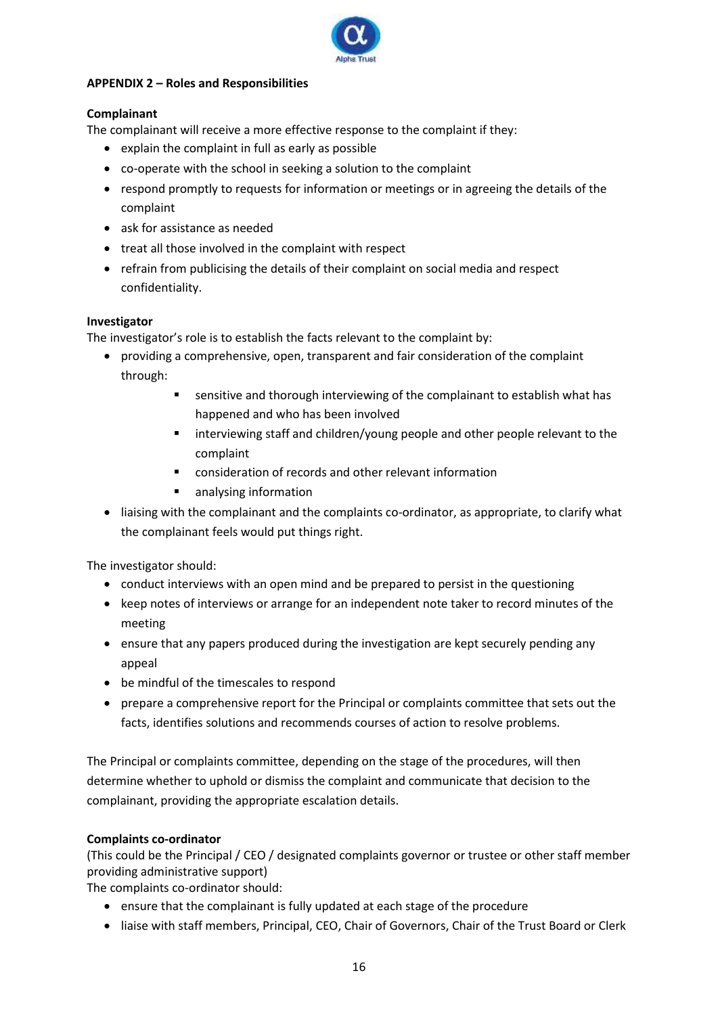

# **APPENDIX 2 – Roles and Responsibilities**

# **Complainant**

The complainant will receive a more effective response to the complaint if they:

- explain the complaint in full as early as possible
- co-operate with the school in seeking a solution to the complaint
- respond promptly to requests for information or meetings or in agreeing the details of the complaint
- ask for assistance as needed
- treat all those involved in the complaint with respect
- refrain from publicising the details of their complaint on social media and respect confidentiality.

#### **Investigator**

The investigator's role is to establish the facts relevant to the complaint by:

- providing a comprehensive, open, transparent and fair consideration of the complaint through:
	- **E** sensitive and thorough interviewing of the complainant to establish what has happened and who has been involved
	- interviewing staff and children/young people and other people relevant to the complaint
	- consideration of records and other relevant information
	- analysing information
- liaising with the complainant and the complaints co-ordinator, as appropriate, to clarify what the complainant feels would put things right.

The investigator should:

- conduct interviews with an open mind and be prepared to persist in the questioning
- keep notes of interviews or arrange for an independent note taker to record minutes of the meeting
- ensure that any papers produced during the investigation are kept securely pending any appeal
- be mindful of the timescales to respond
- prepare a comprehensive report for the Principal or complaints committee that sets out the facts, identifies solutions and recommends courses of action to resolve problems.

The Principal or complaints committee, depending on the stage of the procedures, will then determine whether to uphold or dismiss the complaint and communicate that decision to the complainant, providing the appropriate escalation details.

#### **Complaints co-ordinator**

(This could be the Principal / CEO / designated complaints governor or trustee or other staff member providing administrative support)

The complaints co-ordinator should:

- ensure that the complainant is fully updated at each stage of the procedure
- liaise with staff members, Principal, CEO, Chair of Governors, Chair of the Trust Board or Clerk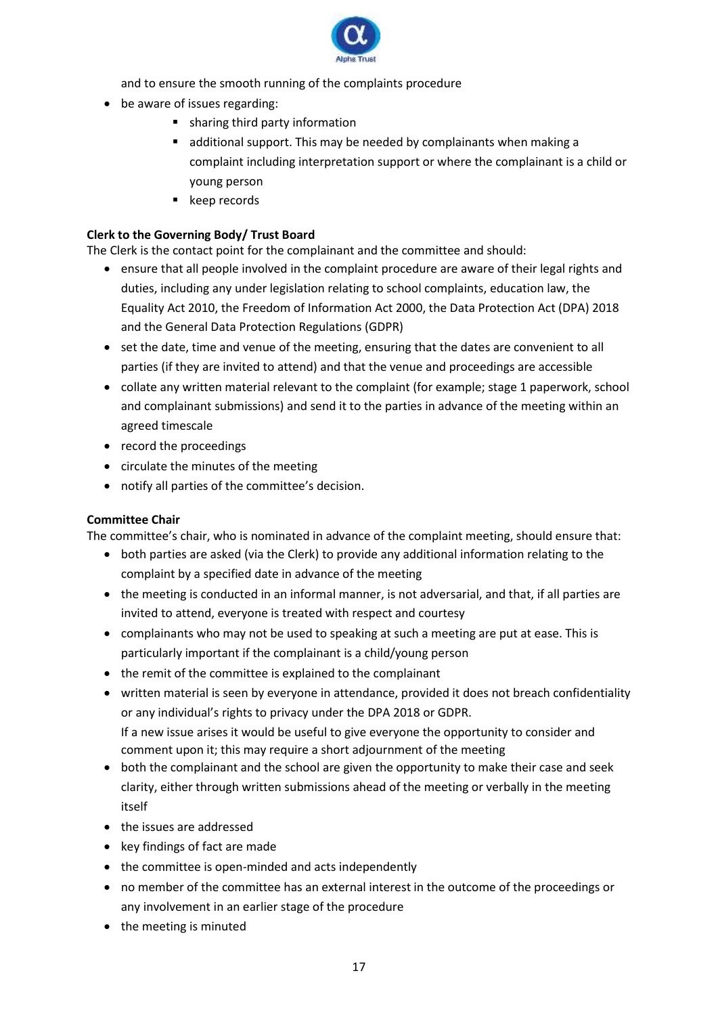

and to ensure the smooth running of the complaints procedure

- be aware of issues regarding:
	- sharing third party information
	- additional support. This may be needed by complainants when making a complaint including interpretation support or where the complainant is a child or young person
	- keep records

# **Clerk to the Governing Body/ Trust Board**

The Clerk is the contact point for the complainant and the committee and should:

- ensure that all people involved in the complaint procedure are aware of their legal rights and duties, including any under legislation relating to school complaints, education law, the Equality Act 2010, the Freedom of Information Act 2000, the Data Protection Act (DPA) 2018 and the General Data Protection Regulations (GDPR)
- set the date, time and venue of the meeting, ensuring that the dates are convenient to all parties (if they are invited to attend) and that the venue and proceedings are accessible
- collate any written material relevant to the complaint (for example; stage 1 paperwork, school and complainant submissions) and send it to the parties in advance of the meeting within an agreed timescale
- record the proceedings
- circulate the minutes of the meeting
- notify all parties of the committee's decision.

# **Committee Chair**

The committee's chair, who is nominated in advance of the complaint meeting, should ensure that:

- both parties are asked (via the Clerk) to provide any additional information relating to the complaint by a specified date in advance of the meeting
- the meeting is conducted in an informal manner, is not adversarial, and that, if all parties are invited to attend, everyone is treated with respect and courtesy
- complainants who may not be used to speaking at such a meeting are put at ease. This is particularly important if the complainant is a child/young person
- the remit of the committee is explained to the complainant
- written material is seen by everyone in attendance, provided it does not breach confidentiality or any individual's rights to privacy under the DPA 2018 or GDPR. If a new issue arises it would be useful to give everyone the opportunity to consider and comment upon it; this may require a short adjournment of the meeting
- both the complainant and the school are given the opportunity to make their case and seek clarity, either through written submissions ahead of the meeting or verbally in the meeting itself
- the issues are addressed
- key findings of fact are made
- the committee is open-minded and acts independently
- no member of the committee has an external interest in the outcome of the proceedings or any involvement in an earlier stage of the procedure
- the meeting is minuted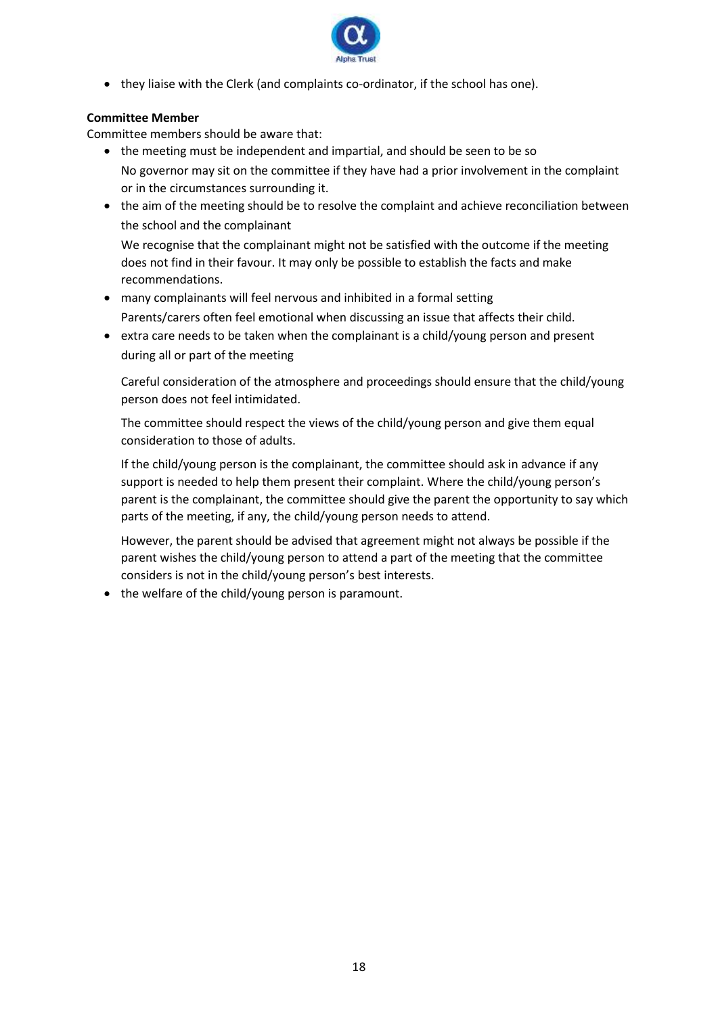

• they liaise with the Clerk (and complaints co-ordinator, if the school has one).

# **Committee Member**

Committee members should be aware that:

- the meeting must be independent and impartial, and should be seen to be so No governor may sit on the committee if they have had a prior involvement in the complaint or in the circumstances surrounding it.
- the aim of the meeting should be to resolve the complaint and achieve reconciliation between the school and the complainant

We recognise that the complainant might not be satisfied with the outcome if the meeting does not find in their favour. It may only be possible to establish the facts and make recommendations.

- many complainants will feel nervous and inhibited in a formal setting Parents/carers often feel emotional when discussing an issue that affects their child.
- extra care needs to be taken when the complainant is a child/young person and present during all or part of the meeting

Careful consideration of the atmosphere and proceedings should ensure that the child/young person does not feel intimidated.

The committee should respect the views of the child/young person and give them equal consideration to those of adults.

If the child/young person is the complainant, the committee should ask in advance if any support is needed to help them present their complaint. Where the child/young person's parent is the complainant, the committee should give the parent the opportunity to say which parts of the meeting, if any, the child/young person needs to attend.

However, the parent should be advised that agreement might not always be possible if the parent wishes the child/young person to attend a part of the meeting that the committee considers is not in the child/young person's best interests.

• the welfare of the child/young person is paramount.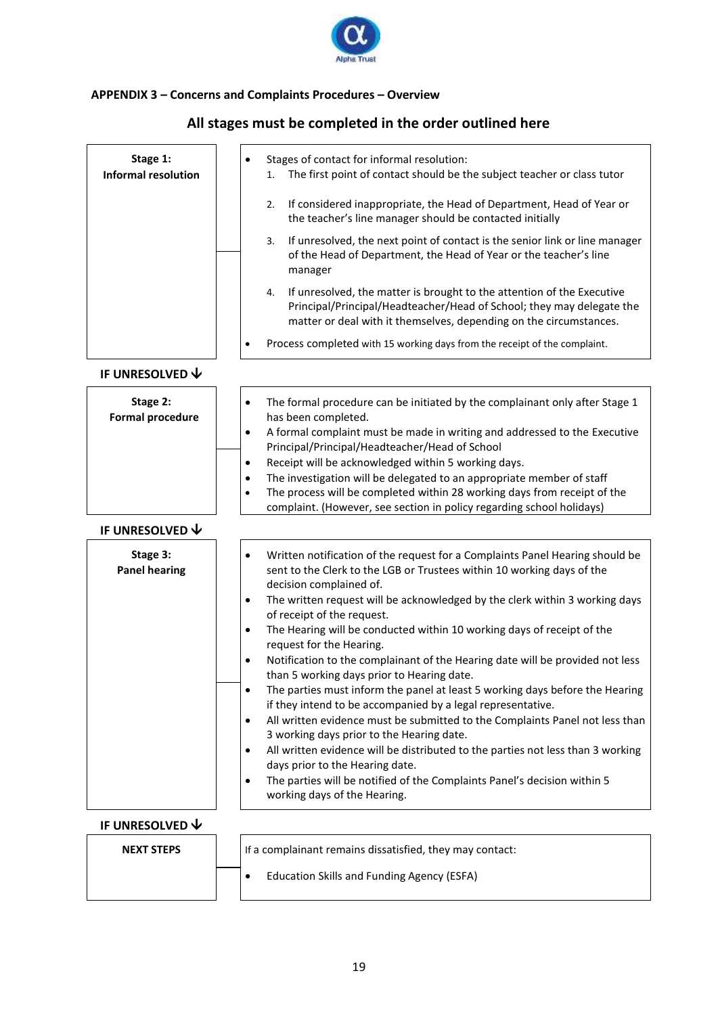

# **APPENDIX 3 – Concerns and Complaints Procedures – Overview**

| Stage 1:<br><b>Informal resolution</b> | Stages of contact for informal resolution:<br>The first point of contact should be the subject teacher or class tutor<br>1.                                                                                                 |
|----------------------------------------|-----------------------------------------------------------------------------------------------------------------------------------------------------------------------------------------------------------------------------|
|                                        | If considered inappropriate, the Head of Department, Head of Year or<br>2.<br>the teacher's line manager should be contacted initially                                                                                      |
|                                        | If unresolved, the next point of contact is the senior link or line manager<br>3.<br>of the Head of Department, the Head of Year or the teacher's line<br>manager                                                           |
|                                        | If unresolved, the matter is brought to the attention of the Executive<br>4.<br>Principal/Principal/Headteacher/Head of School; they may delegate the<br>matter or deal with it themselves, depending on the circumstances. |
|                                        | Process completed with 15 working days from the receipt of the complaint.<br>٠                                                                                                                                              |
| IF UNRESOLVED $\bm{\downarrow}$        |                                                                                                                                                                                                                             |
| Stage 2:<br><b>Formal procedure</b>    | The formal procedure can be initiated by the complainant only after Stage 1<br>$\bullet$<br>has been completed.                                                                                                             |
|                                        | A formal complaint must be made in writing and addressed to the Executive<br>$\bullet$<br>Principal/Principal/Headteacher/Head of School                                                                                    |
|                                        | Receipt will be acknowledged within 5 working days.<br>٠                                                                                                                                                                    |
|                                        | The investigation will be delegated to an appropriate member of staff<br>٠                                                                                                                                                  |
|                                        | The process will be completed within 28 working days from receipt of the<br>$\bullet$<br>complaint. (However, see section in policy regarding school holidays)                                                              |
| IF UNRESOLVED $\bm{\downarrow}$        |                                                                                                                                                                                                                             |
| Stage 3:<br><b>Panel hearing</b>       | Written notification of the request for a Complaints Panel Hearing should be<br>$\bullet$<br>sent to the Clerk to the LGB or Trustees within 10 working days of the<br>decision complained of.                              |
|                                        | The written request will be acknowledged by the clerk within 3 working days<br>٠<br>of receipt of the request.                                                                                                              |
|                                        | The Hearing will be conducted within 10 working days of receipt of the<br>$\bullet$<br>request for the Hearing.                                                                                                             |
|                                        | Notification to the complainant of the Hearing date will be provided not less<br>than 5 working days prior to Hearing date.                                                                                                 |
|                                        | The parties must inform the panel at least 5 working days before the Hearing<br>$\bullet$<br>if they intend to be accompanied by a legal representative.                                                                    |
|                                        | All written evidence must be submitted to the Complaints Panel not less than<br>$\bullet$<br>3 working days prior to the Hearing date.                                                                                      |
|                                        | All written evidence will be distributed to the parties not less than 3 working<br>$\bullet$                                                                                                                                |
|                                        | days prior to the Hearing date.<br>The parties will be notified of the Complaints Panel's decision within 5<br>$\bullet$<br>working days of the Hearing.                                                                    |
| IF UNRESOLVED $\bm{\downarrow}$        |                                                                                                                                                                                                                             |
| <b>NEXT STEPS</b>                      | If a complainant remains dissatisfied, they may contact:                                                                                                                                                                    |
|                                        | <b>Education Skills and Funding Agency (ESFA)</b><br>٠                                                                                                                                                                      |

# **All stages must be completed in the order outlined here**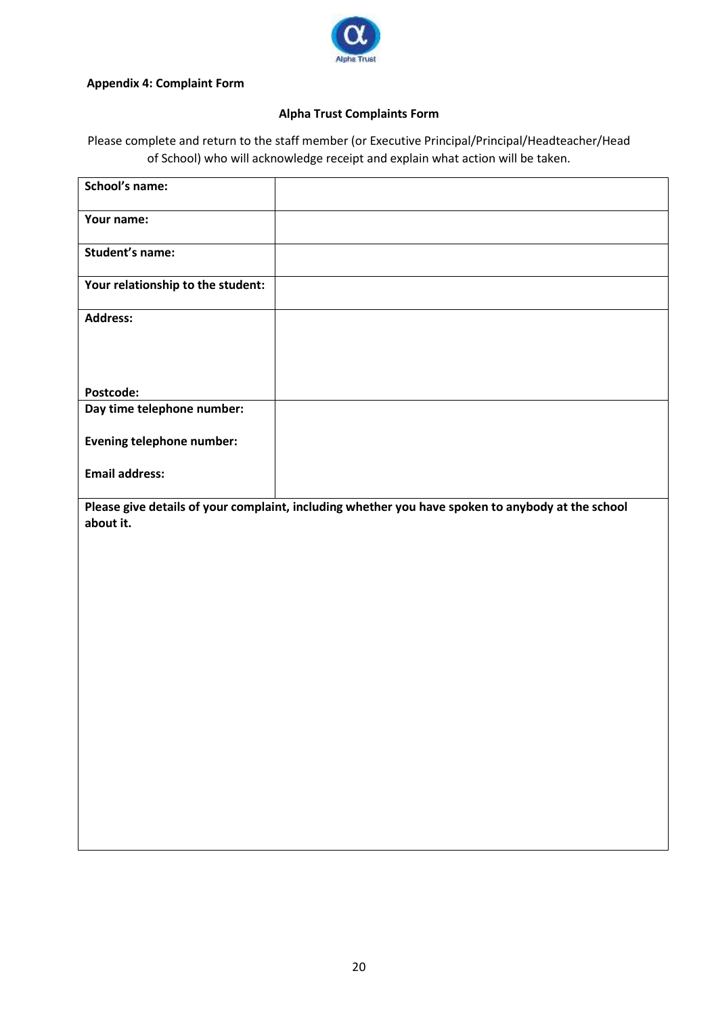

#### **Appendix 4: Complaint Form**

# **Alpha Trust Complaints Form**

Please complete and return to the staff member (or Executive Principal/Principal/Headteacher/Head of School) who will acknowledge receipt and explain what action will be taken.

| School's name:                    |                                                                                                   |
|-----------------------------------|---------------------------------------------------------------------------------------------------|
| Your name:                        |                                                                                                   |
| <b>Student's name:</b>            |                                                                                                   |
| Your relationship to the student: |                                                                                                   |
| <b>Address:</b>                   |                                                                                                   |
|                                   |                                                                                                   |
| Postcode:                         |                                                                                                   |
| Day time telephone number:        |                                                                                                   |
| <b>Evening telephone number:</b>  |                                                                                                   |
| <b>Email address:</b>             |                                                                                                   |
| about it.                         | Please give details of your complaint, including whether you have spoken to anybody at the school |
|                                   |                                                                                                   |
|                                   |                                                                                                   |
|                                   |                                                                                                   |
|                                   |                                                                                                   |
|                                   |                                                                                                   |
|                                   |                                                                                                   |
|                                   |                                                                                                   |
|                                   |                                                                                                   |
|                                   |                                                                                                   |
|                                   |                                                                                                   |
|                                   |                                                                                                   |
|                                   |                                                                                                   |
|                                   |                                                                                                   |